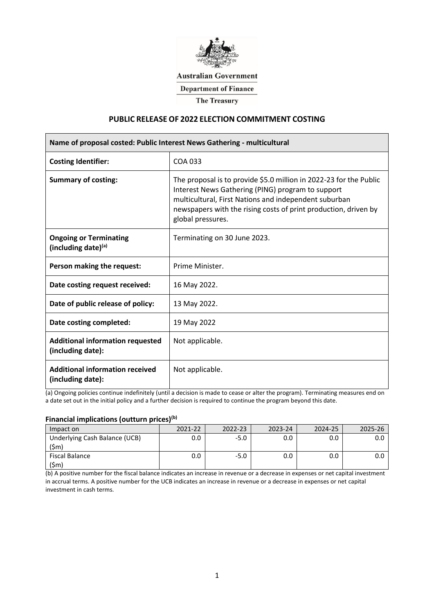

## **Australian Government**

**Department of Finance** 

**The Treasury** 

# **PUBLIC RELEASE OF 2022 ELECTION COMMITMENT COSTING**

| Name of proposal costed: Public Interest News Gathering - multicultural |                                                                                                                                                                                                                                                                          |  |  |  |  |
|-------------------------------------------------------------------------|--------------------------------------------------------------------------------------------------------------------------------------------------------------------------------------------------------------------------------------------------------------------------|--|--|--|--|
| <b>Costing Identifier:</b>                                              | COA 033                                                                                                                                                                                                                                                                  |  |  |  |  |
| <b>Summary of costing:</b>                                              | The proposal is to provide \$5.0 million in 2022-23 for the Public<br>Interest News Gathering (PING) program to support<br>multicultural, First Nations and independent suburban<br>newspapers with the rising costs of print production, driven by<br>global pressures. |  |  |  |  |
| <b>Ongoing or Terminating</b><br>(including date)(a)                    | Terminating on 30 June 2023.                                                                                                                                                                                                                                             |  |  |  |  |
| Person making the request:                                              | Prime Minister.                                                                                                                                                                                                                                                          |  |  |  |  |
| Date costing request received:                                          | 16 May 2022.                                                                                                                                                                                                                                                             |  |  |  |  |
| Date of public release of policy:                                       | 13 May 2022.                                                                                                                                                                                                                                                             |  |  |  |  |
| Date costing completed:                                                 | 19 May 2022                                                                                                                                                                                                                                                              |  |  |  |  |
| <b>Additional information requested</b><br>(including date):            | Not applicable.                                                                                                                                                                                                                                                          |  |  |  |  |
| <b>Additional information received</b><br>(including date):             | Not applicable.                                                                                                                                                                                                                                                          |  |  |  |  |

(a) Ongoing policies continue indefinitely (until a decision is made to cease or alter the program). Terminating measures end on a date set out in the initial policy and a further decision is required to continue the program beyond this date.

### **Financial implications (outturn prices)(b)**

| Impact on                     | 2021-22 | 2022-23 | 2023-24 | 2024-25 | 2025-26 |
|-------------------------------|---------|---------|---------|---------|---------|
| Underlying Cash Balance (UCB) |         | -5.0    |         |         |         |
| \$m                           |         |         |         |         |         |
| Fiscal Balance                |         | -5.0    |         |         |         |
| .Smi                          |         |         |         |         |         |

(b) A positive number for the fiscal balance indicates an increase in revenue or a decrease in expenses or net capital investment in accrual terms. A positive number for the UCB indicates an increase in revenue or a decrease in expenses or net capital investment in cash terms.